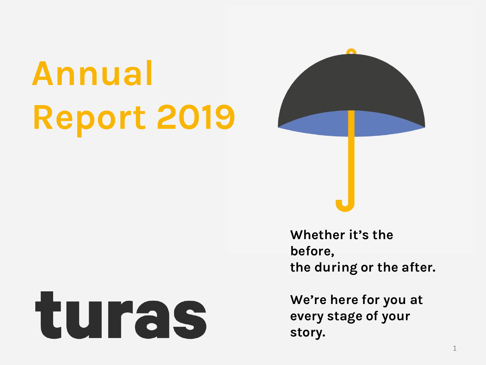# **Annual Report 2019**





**Whether it's the before, the during or the after.** 

**We're here for you at every stage of your story.**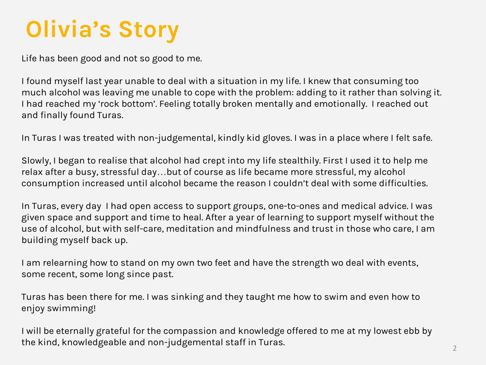#### **Olivia's Story**

Life has been good and not so good to me.

I found myself last year unable to deal with a situation in my life. I knew that consuming too much alcohol was leaving me unable to cope with the problem: adding to it rather than solving it. I had reached my 'rock bottom'. Feeling totally broken mentally and emotionally. I reached out and finally found Turas.

In Turas I was treated with non-judgemental, kindly kid gloves. I was in a place where I felt safe.

Slowly, I began to realise that alcohol had crept into my life stealthily. First I used it to help me relax after a busy, stressful day…but of course as life became more stressful, my alcohol consumption increased until alcohol became the reason I couldn't deal with some difficulties.

In Turas, every day I had open access to support groups, one-to-ones and medical advice. I was given space and support and time to heal. After a year of learning to support myself without the use of alcohol, but with self-care, meditation and mindfulness and trust in those who care, I am building myself back up.

I am relearning how to stand on my own two feet and have the strength wo deal with events, some recent, some long since past.

Turas has been there for me. I was sinking and they taught me how to swim and even how to enjoy swimming!

I will be eternally grateful for the compassion and knowledge offered to me at my lowest ebb by the kind, knowledgeable and non-judgemental staff in Turas.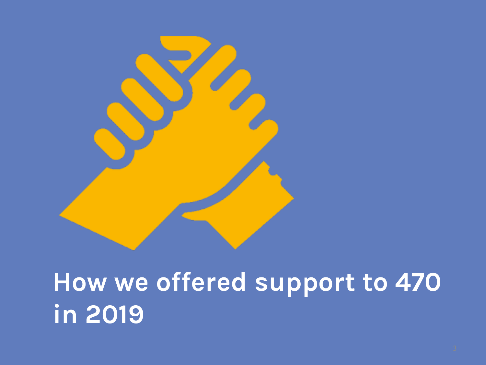

# **How we offered support to 470 in 2019**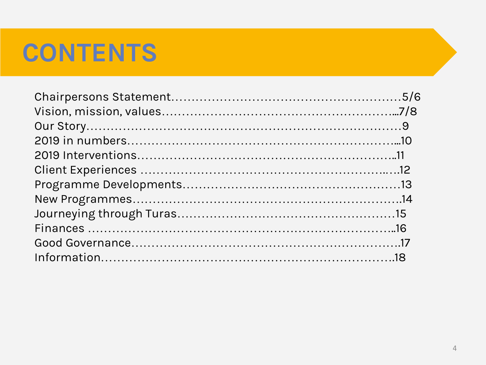#### **CONTENTS**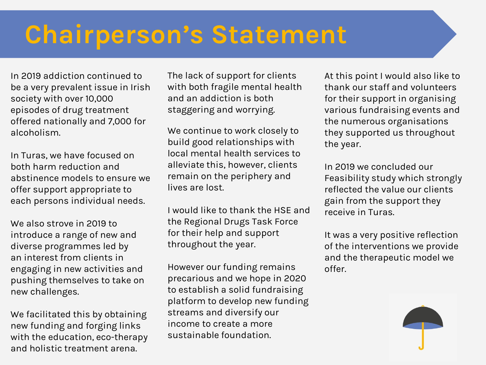## **Chairperson's Statement**

In 2019 addiction continued to be a very prevalent issue in Irish society with over 10,000 episodes of drug treatment offered nationally and 7,000 for alcoholism.

In Turas, we have focused on both harm reduction and abstinence models to ensure we offer support appropriate to each persons individual needs.

We also strove in 2019 to introduce a range of new and diverse programmes led by an interest from clients in engaging in new activities and pushing themselves to take on new challenges.

We facilitated this by obtaining new funding and forging links with the education, eco-therapy and holistic treatment arena. 5

The lack of support for clients with both fragile mental health and an addiction is both staggering and worrying.

We continue to work closely to build good relationships with local mental health services to alleviate this, however, clients remain on the periphery and lives are lost.

I would like to thank the HSE and the Regional Drugs Task Force for their help and support throughout the year.

However our funding remains precarious and we hope in 2020 to establish a solid fundraising platform to develop new funding streams and diversify our income to create a more sustainable foundation.

At this point I would also like to thank our staff and volunteers for their support in organising various fundraising events and the numerous organisations they supported us throughout the year.

In 2019 we concluded our Feasibility study which strongly reflected the value our clients gain from the support they receive in Turas.

It was a very positive reflection of the interventions we provide and the therapeutic model we offer.

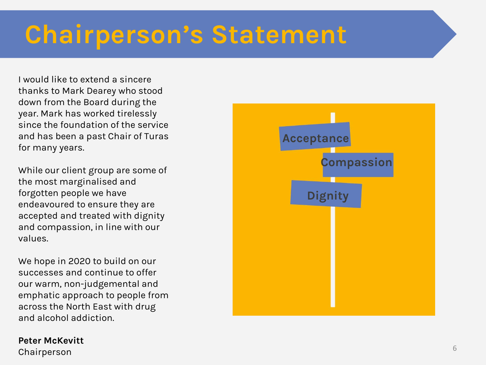# **Chairperson's Statement**

I would like to extend a sincere thanks to Mark Dearey who stood down from the Board during the year. Mark has worked tirelessly since the foundation of the service and has been a past Chair of Turas for many years.

While our client group are some of the most marginalised and forgotten people we have endeavoured to ensure they are accepted and treated with dignity and compassion, in line with our values.

We hope in 2020 to build on our successes and continue to offer our warm, non-judgemental and emphatic approach to people from across the North East with drug and alcohol addiction.

#### **Peter McKevitt**

 ${\sf Chairperson}$   $6$ 

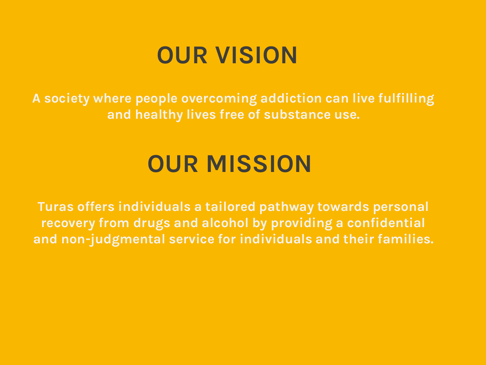#### **OUR VISION**

**A society where people overcoming addiction can live fulfilling and healthy lives free of substance use.**

#### **OUR MISSION**

**Turas offers individuals a tailored pathway towards personal recovery from drugs and alcohol by providing a confidential and non-judgmental service for individuals and their families.**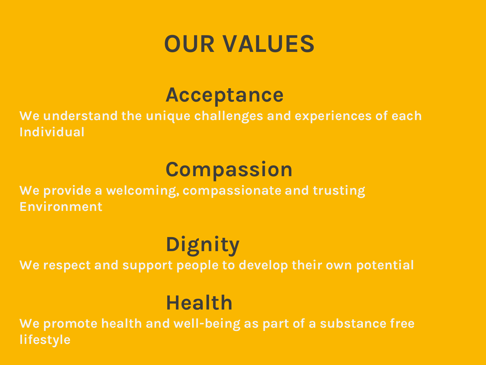#### **OUR VALUES**

#### **Acceptance**

**We understand the unique challenges and experiences of each Individual**

#### **Compassion**

**We provide a welcoming, compassionate and trusting Environment**

#### **Dignity**

**We respect and support people to develop their own potential**

#### **Health**

**We promote health and well-being as part of a substance free lifestyle**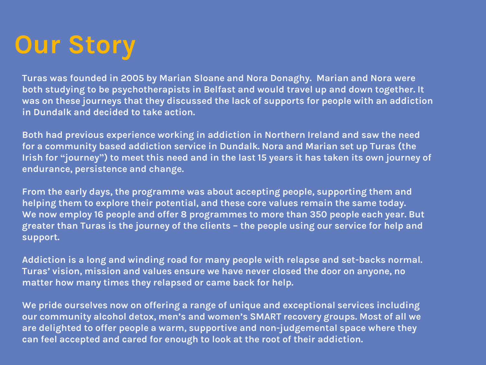# **Our Story**

**Turas was founded in 2005 by Marian Sloane and Nora Donaghy. Marian and Nora were both studying to be psychotherapists in Belfast and would travel up and down together. It was on these journeys that they discussed the lack of supports for people with an addiction in Dundalk and decided to take action.**

**Both had previous experience working in addiction in Northern Ireland and saw the need for a community based addiction service in Dundalk. Nora and Marian set up Turas (the Irish for "journey") to meet this need and in the last 15 years it has taken its own journey of endurance, persistence and change.**

**From the early days, the programme was about accepting people, supporting them and helping them to explore their potential, and these core values remain the same today. We now employ 16 people and offer 8 programmes to more than 350 people each year. But greater than Turas is the journey of the clients – the people using our service for help and support.**

**Addiction is a long and winding road for many people with relapse and set-backs normal. Turas' vision, mission and values ensure we have never closed the door on anyone, no matter how many times they relapsed or came back for help.**

**We pride ourselves now on offering a range of unique and exceptional services including our community alcohol detox, men's and women's SMART recovery groups. Most of all we are delighted to offer people a warm, supportive and non-judgemental space where they can feel accepted and cared for enough to look at the root of their addiction.**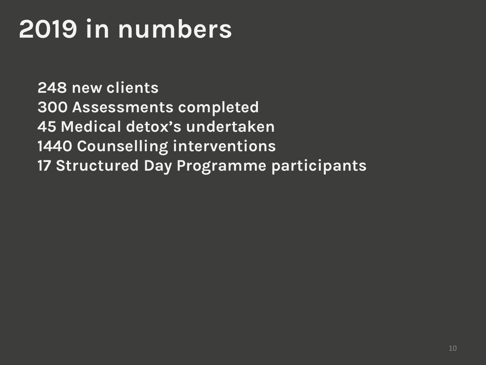# **2019 in numbers**

**248 new clients 300 Assessments completed 45 Medical detox's undertaken 1440 Counselling interventions 17 Structured Day Programme participants**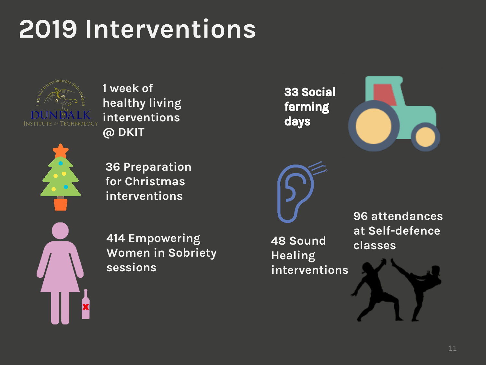# **2019 Interventions**



**1 week of healthy living interventions @ DKIT** 

**36 Preparation for Christmas interventions**

**414 Empowering Women in Sobriety sessions**

33 Social farming days

**48 Sound** 

**interventions** 

**Healing** 



**96 attendances at Self-defence classes** 

11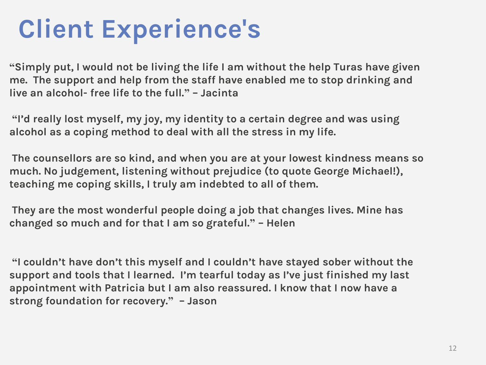# **Client Experience's**

**"Simply put, I would not be living the life I am without the help Turas have given me. The support and help from the staff have enabled me to stop drinking and live an alcohol- free life to the full." – Jacinta**

**"I'd really lost myself, my joy, my identity to a certain degree and was using alcohol as a coping method to deal with all the stress in my life.**

**The counsellors are so kind, and when you are at your lowest kindness means so much. No judgement, listening without prejudice (to quote George Michael!), teaching me coping skills, I truly am indebted to all of them.**

**They are the most wonderful people doing a job that changes lives. Mine has changed so much and for that I am so grateful." – Helen**

**"I couldn't have don't this myself and I couldn't have stayed sober without the support and tools that I learned. I'm tearful today as I've just finished my last appointment with Patricia but I am also reassured. I know that I now have a strong foundation for recovery." – Jason**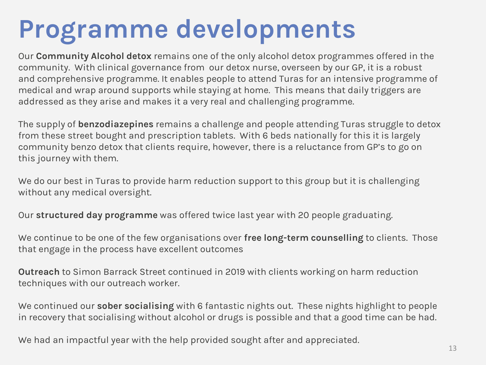# **Programme developments**

Our **Community Alcohol detox** remains one of the only alcohol detox programmes offered in the community. With clinical governance from our detox nurse, overseen by our GP, it is a robust and comprehensive programme. It enables people to attend Turas for an intensive programme of medical and wrap around supports while staying at home. This means that daily triggers are addressed as they arise and makes it a very real and challenging programme.

The supply of **benzodiazepines** remains a challenge and people attending Turas struggle to detox from these street bought and prescription tablets. With 6 beds nationally for this it is largely community benzo detox that clients require, however, there is a reluctance from GP's to go on this journey with them.

We do our best in Turas to provide harm reduction support to this group but it is challenging without any medical oversight.

Our **structured day programme** was offered twice last year with 20 people graduating.

We continue to be one of the few organisations over **free long-term counselling** to clients. Those that engage in the process have excellent outcomes

**Outreach** to Simon Barrack Street continued in 2019 with clients working on harm reduction techniques with our outreach worker.

We continued our **sober socialising** with 6 fantastic nights out. These nights highlight to people in recovery that socialising without alcohol or drugs is possible and that a good time can be had.

We had an impactful year with the help provided sought after and appreciated.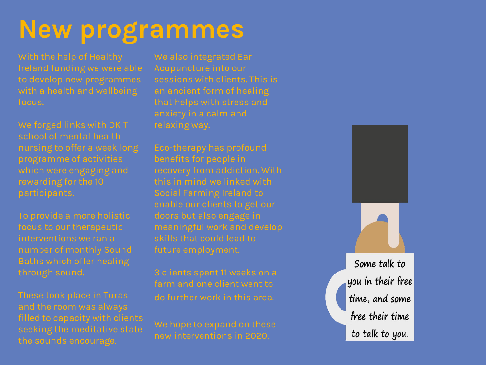#### **New programmes**

Ireland funding we were able to develop new programmes with a health and wellbeing focus.

We forged links with DKIT school of mental health which were engaging and

To provide a more holistic focus to our therapeutic interventions we ran a number of monthly Sound through sound.

filled to capacity with clients the sounds encourage.

We also integrated Ear Acupuncture into our sessions with clients. This is that helps with stress and

Eco -therapy has profound benefits for people in this in mind we linked with enable our clients to get our doors but also engage in meaningful work and develop skills that could lead to future employment.

3 clients spent 11 weeks on a farm and one client went to do further work in this area.

We hope to expand on these new interventions in 2020.

Some talk to you in their free time, and some free their time to talk to you.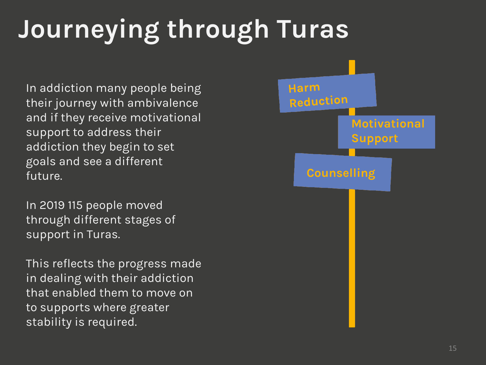# **Journeying through Turas**

In addiction many people being their journey with ambivalence and if they receive motivational support to address their addiction they begin to set goals and see a different future.

In 2019 115 people moved through different stages of support in Turas.

This reflects the progress made in dealing with their addiction that enabled them to move on to supports where greater stability is required.

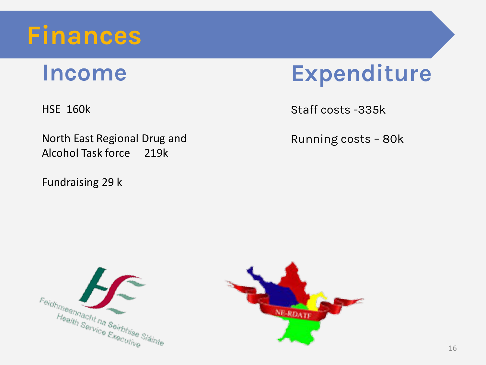

#### **Income**

HSE 160k

North East Regional Drug and Alcohol Task force 219k

Fundraising 29 k



Staff costs -335k

Running costs – 80k



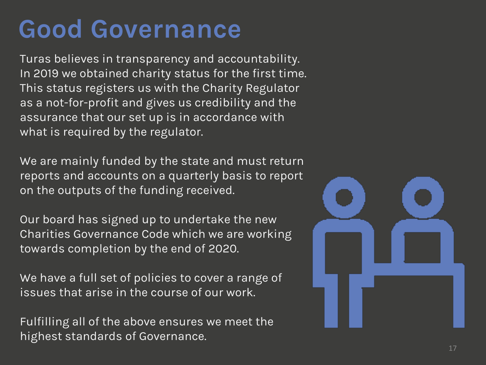#### **Good Governance**

Turas believes in transparency and accountability. In 2019 we obtained charity status for the first time. This status registers us with the Charity Regulator as a not-for-profit and gives us credibility and the assurance that our set up is in accordance with what is required by the regulator.

We are mainly funded by the state and must return reports and accounts on a quarterly basis to report on the outputs of the funding received.

Our board has signed up to undertake the new Charities Governance Code which we are working towards completion by the end of 2020.

We have a full set of policies to cover a range of issues that arise in the course of our work.

Fulfilling all of the above ensures we meet the highest standards of Governance.

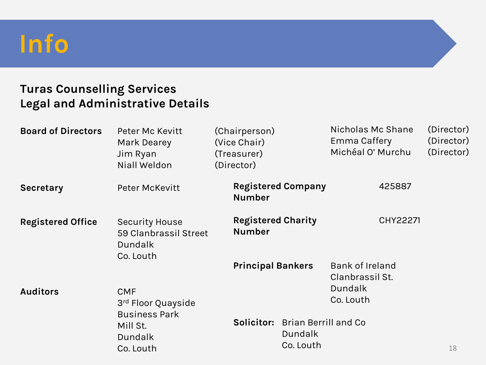#### **Info**

#### **Turas Counselling Services Legal and Administrative Details**

| <b>Board of Directors</b> | Peter Mc Kevitt<br>Mark Dearey<br>Jim Ryan<br>Niall Weldon             | (Chairperson)<br>(Vice Chair)<br>(Treasurer)<br>(Director) |                                                                                          |                                                     | Nicholas Mc Shane<br>Emma Caffery<br>Michéal O' Murchu | (Director)<br>(Director)<br>(Director) |  |
|---------------------------|------------------------------------------------------------------------|------------------------------------------------------------|------------------------------------------------------------------------------------------|-----------------------------------------------------|--------------------------------------------------------|----------------------------------------|--|
| <b>Secretary</b>          | Peter McKevitt                                                         |                                                            | <b>Registered Company</b><br><b>Number</b><br><b>Registered Charity</b><br><b>Number</b> |                                                     | 425887                                                 |                                        |  |
| <b>Registered Office</b>  | <b>Security House</b><br>59 Clanbrassil Street<br>Dundalk<br>Co. Louth |                                                            |                                                                                          |                                                     | CHY22271                                               |                                        |  |
|                           |                                                                        |                                                            | <b>Principal Bankers</b>                                                                 |                                                     | <b>Bank of Ireland</b><br>Clanbrassil St.<br>Dundalk   |                                        |  |
| <b>Auditors</b>           | <b>CMF</b><br>3rd Floor Quayside                                       |                                                            |                                                                                          |                                                     | Co. Louth                                              |                                        |  |
|                           | <b>Business Park</b><br>Mill St.<br><b>Dundalk</b><br>Co. Louth        |                                                            | Solicitor:                                                                               | <b>Brian Berrill and Co</b><br>Dundalk<br>Co. Louth |                                                        | 18                                     |  |